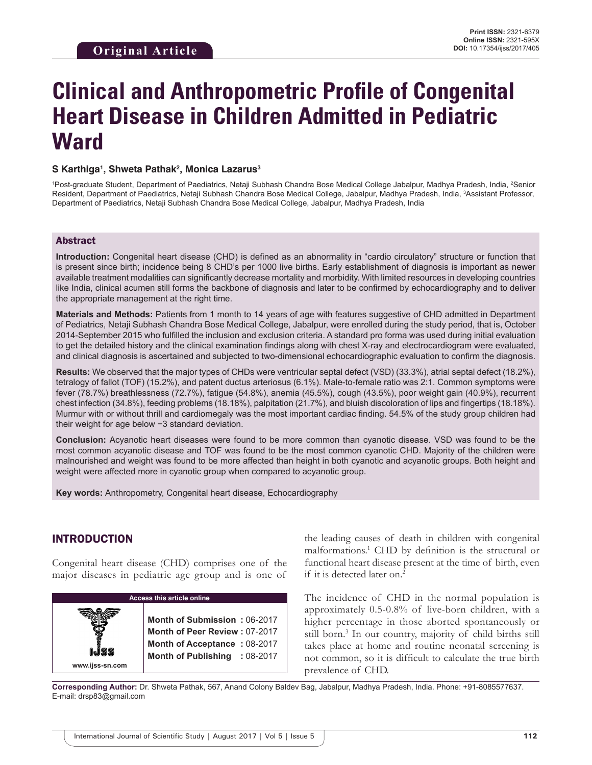# **Clinical and Anthropometric Profile of Congenital Heart Disease in Children Admitted in Pediatric Ward**

## **S Karthiga1 , Shweta Pathak2 , Monica Lazarus3**

<sup>1</sup>Post-graduate Student, Department of Paediatrics, Netaji Subhash Chandra Bose Medical College Jabalpur, Madhya Pradesh, India, <sup>2</sup>Senior Resident, Department of Paediatrics, Netaji Subhash Chandra Bose Medical College, Jabalpur, Madhya Pradesh, India, 3 Assistant Professor, Department of Paediatrics, Netaji Subhash Chandra Bose Medical College, Jabalpur, Madhya Pradesh, India

## Abstract

**Introduction:** Congenital heart disease (CHD) is defined as an abnormality in "cardio circulatory" structure or function that is present since birth; incidence being 8 CHD's per 1000 live births. Early establishment of diagnosis is important as newer available treatment modalities can significantly decrease mortality and morbidity. With limited resources in developing countries like India, clinical acumen still forms the backbone of diagnosis and later to be confirmed by echocardiography and to deliver the appropriate management at the right time.

**Materials and Methods:** Patients from 1 month to 14 years of age with features suggestive of CHD admitted in Department of Pediatrics, Netaji Subhash Chandra Bose Medical College, Jabalpur, were enrolled during the study period, that is, October 2014-September 2015 who fulfilled the inclusion and exclusion criteria. A standard pro forma was used during initial evaluation to get the detailed history and the clinical examination findings along with chest X-ray and electrocardiogram were evaluated, and clinical diagnosis is ascertained and subjected to two-dimensional echocardiographic evaluation to confirm the diagnosis.

**Results:** We observed that the major types of CHDs were ventricular septal defect (VSD) (33.3%), atrial septal defect (18.2%), tetralogy of fallot (TOF) (15.2%), and patent ductus arteriosus (6.1%). Male-to-female ratio was 2:1. Common symptoms were fever (78.7%) breathlessness (72.7%), fatigue (54.8%), anemia (45.5%), cough (43.5%), poor weight gain (40.9%), recurrent chest infection (34.8%), feeding problems (18.18%), palpitation (21.7%), and bluish discoloration of lips and fingertips (18.18%). Murmur with or without thrill and cardiomegaly was the most important cardiac finding. 54.5% of the study group children had their weight for age below −3 standard deviation.

**Conclusion:** Acyanotic heart diseases were found to be more common than cyanotic disease. VSD was found to be the most common acyanotic disease and TOF was found to be the most common cyanotic CHD. Majority of the children were malnourished and weight was found to be more affected than height in both cyanotic and acyanotic groups. Both height and weight were affected more in cyanotic group when compared to acyanotic group.

**Key words:** Anthropometry, Congenital heart disease, Echocardiography

## INTRODUCTION

Congenital heart disease (CHD) comprises one of the major diseases in pediatric age group and is one of

**Access this article online www.ijss-sn.com Month of Submission :** 06-2017 **Month of Peer Review :** 07-2017 **Month of Acceptance :** 08-2017 **Month of Publishing :** 08-2017

the leading causes of death in children with congenital malformations.1 CHD by definition is the structural or functional heart disease present at the time of birth, even if it is detected later on.2

The incidence of CHD in the normal population is approximately 0.5-0.8% of live-born children, with a higher percentage in those aborted spontaneously or still born.<sup>3</sup> In our country, majority of child births still takes place at home and routine neonatal screening is not common, so it is difficult to calculate the true birth prevalence of CHD.

**Corresponding Author:** Dr. Shweta Pathak, 567, Anand Colony Baldev Bag, Jabalpur, Madhya Pradesh, India. Phone: +91-8085577637. E-mail: drsp83@gmail.com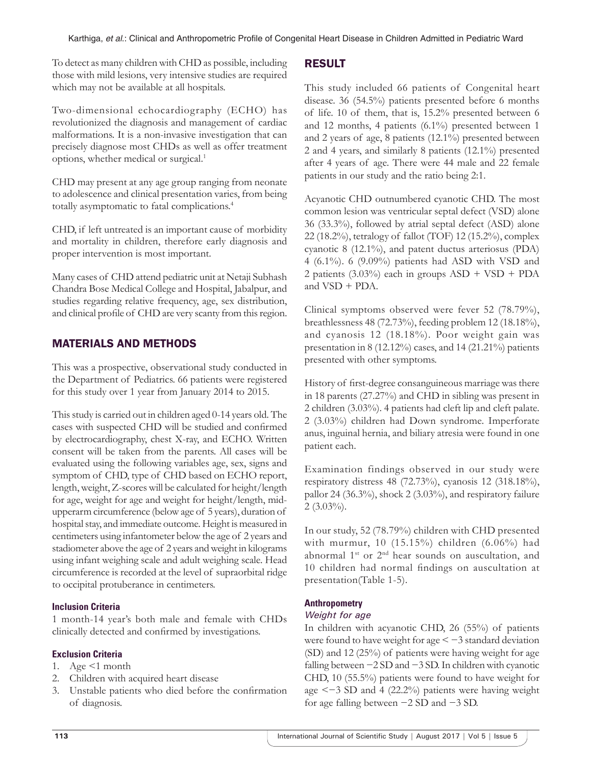To detect as many children with CHD as possible, including those with mild lesions, very intensive studies are required which may not be available at all hospitals.

Two-dimensional echocardiography (ECHO) has revolutionized the diagnosis and management of cardiac malformations. It is a non-invasive investigation that can precisely diagnose most CHDs as well as offer treatment options, whether medical or surgical.1

CHD may present at any age group ranging from neonate to adolescence and clinical presentation varies, from being totally asymptomatic to fatal complications.4

CHD, if left untreated is an important cause of morbidity and mortality in children, therefore early diagnosis and proper intervention is most important.

Many cases of CHD attend pediatric unit at Netaji Subhash Chandra Bose Medical College and Hospital, Jabalpur, and studies regarding relative frequency, age, sex distribution, and clinical profile of CHD are very scanty from this region.

## MATERIALS AND METHODS

This was a prospective, observational study conducted in the Department of Pediatrics. 66 patients were registered for this study over 1 year from January 2014 to 2015.

This study is carried out in children aged 0-14 years old. The cases with suspected CHD will be studied and confirmed by electrocardiography, chest X-ray, and ECHO. Written consent will be taken from the parents. All cases will be evaluated using the following variables age, sex, signs and symptom of CHD, type of CHD based on ECHO report, length, weight, Z-scores will be calculated for height/length for age, weight for age and weight for height/length, midupperarm circumference (below age of 5 years), duration of hospital stay, and immediate outcome. Height is measured in centimeters using infantometer below the age of 2 years and stadiometer above the age of 2 years and weight in kilograms using infant weighing scale and adult weighing scale. Head circumference is recorded at the level of supraorbital ridge to occipital protuberance in centimeters.

## **Inclusion Criteria**

1 month-14 year's both male and female with CHDs clinically detected and confirmed by investigations.

## **Exclusion Criteria**

- 1. Age  $\leq 1$  month
- 2. Children with acquired heart disease
- 3. Unstable patients who died before the confirmation of diagnosis.

## RESULT

This study included 66 patients of Congenital heart disease. 36 (54.5%) patients presented before 6 months of life. 10 of them, that is, 15.2% presented between 6 and 12 months, 4 patients (6.1%) presented between 1 and 2 years of age, 8 patients (12.1%) presented between 2 and 4 years, and similarly 8 patients (12.1%) presented after 4 years of age. There were 44 male and 22 female patients in our study and the ratio being 2:1.

Acyanotic CHD outnumbered cyanotic CHD. The most common lesion was ventricular septal defect (VSD) alone 36 (33.3%), followed by atrial septal defect (ASD) alone 22 (18.2%), tetralogy of fallot (TOF) 12 (15.2%), complex cyanotic 8 (12.1%), and patent ductus arteriosus (PDA) 4 (6.1%). 6 (9.09%) patients had ASD with VSD and 2 patients  $(3.03\%)$  each in groups  $ASD + VSD + PDA$ and VSD + PDA.

Clinical symptoms observed were fever 52 (78.79%), breathlessness 48 (72.73%), feeding problem 12 (18.18%), and cyanosis 12 (18.18%). Poor weight gain was presentation in 8 (12.12%) cases, and 14 (21.21%) patients presented with other symptoms.

History of first-degree consanguineous marriage was there in 18 parents (27.27%) and CHD in sibling was present in 2 children (3.03%). 4 patients had cleft lip and cleft palate. 2 (3.03%) children had Down syndrome. Imperforate anus, inguinal hernia, and biliary atresia were found in one patient each.

Examination findings observed in our study were respiratory distress 48 (72.73%), cyanosis 12 (318.18%), pallor 24 (36.3%), shock 2 (3.03%), and respiratory failure  $2(3.03\%)$ .

In our study, 52 (78.79%) children with CHD presented with murmur, 10 (15.15%) children (6.06%) had abnormal 1<sup>st</sup> or 2<sup>nd</sup> hear sounds on auscultation, and 10 children had normal findings on auscultation at presentation(Table 1-5).

## **Anthropometry**

## *Weight for age*

In children with acyanotic CHD, 26 (55%) of patients were found to have weight for age  $\leq -3$  standard deviation (SD) and 12 (25%) of patients were having weight for age falling between −2 SD and −3 SD. In children with cyanotic CHD, 10 (55.5%) patients were found to have weight for age <−3 SD and 4 (22.2%) patients were having weight for age falling between −2 SD and −3 SD.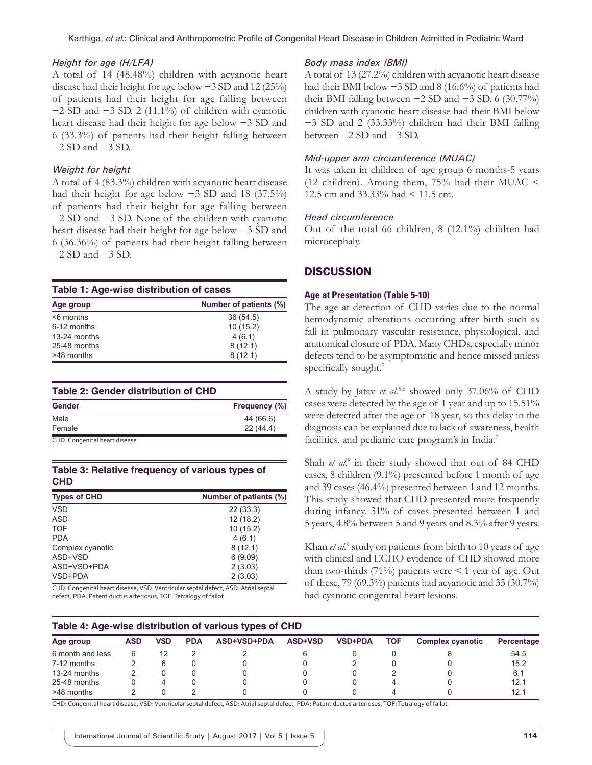#### *Height for age (H/LFA)*

A total of 14 (48.48%) children with acyanotic heart disease had their height for age below −3 SD and 12 (25%) of patients had their height for age falling between −2 SD and −3 SD. 2 (11.1%) of children with cyanotic heart disease had their height for age below −3 SD and 6 (33.3%) of patients had their height falling between −2 SD and −3 SD.

#### *Weight for height*

**CHD**

A total of 4 (83.3%) children with acyanotic heart disease had their height for age below −3 SD and 18 (37.5%) of patients had their height for age falling between −2 SD and −3 SD. None of the children with cyanotic heart disease had their height for age below −3 SD and 6 (36.36%) of patients had their height falling between −2 SD and −3 SD.

#### **Table 1: Age‑wise distribution of cases**

| Age group    | Number of patients (%) |
|--------------|------------------------|
| $<$ 6 months | 36(54.5)               |
| 6-12 months  | 10(15.2)               |
| 13-24 months | 4(6.1)                 |
| 25-48 months | 8(12.1)                |
| >48 months   | 8(12.1)                |

| Table 2: Gender distribution of CHD |               |  |  |  |
|-------------------------------------|---------------|--|--|--|
| Gender                              | Frequency (%) |  |  |  |
| Male                                | 44 (66.6)     |  |  |  |
| Female                              | 22(44.4)      |  |  |  |

## **Table 3: Relative frequency of various types of**

| uw                  |                        |  |  |  |  |
|---------------------|------------------------|--|--|--|--|
| <b>Types of CHD</b> | Number of patients (%) |  |  |  |  |
| <b>VSD</b>          | 22(33.3)               |  |  |  |  |
| ASD                 | 12(18.2)               |  |  |  |  |
| <b>TOF</b>          | 10(15.2)               |  |  |  |  |
| <b>PDA</b>          | 4(6.1)                 |  |  |  |  |
| Complex cyanotic    | 8(12.1)                |  |  |  |  |
| ASD+VSD             | 6(9.09)                |  |  |  |  |
| ASD+VSD+PDA         | 2(3.03)                |  |  |  |  |
| VSD+PDA             | 2(3.03)                |  |  |  |  |

CHD: Congenital heart disease, VSD: Ventricular septal defect, ASD: Atrial septal defect, PDA: Patent ductus arteriosus, TOF: Tetralogy of fallot

#### *Body mass index (BMI)*

A total of 13 (27.2%) children with acyanotic heart disease had their BMI below −3 SD and 8 (16.6%) of patients had their BMI falling between  $-2$  SD and  $-3$  SD. 6 (30.77%) children with cyanotic heart disease had their BMI below −3 SD and 2 (33.33%) children had their BMI falling between −2 SD and −3 SD.

## *Mid-upper arm circumference (MUAC)*

It was taken in children of age group 6 months-5 years (12 children). Among them, 75% had their MUAC < 12.5 cm and 33.33% had < 11.5 cm.

## *Head circumference*

Out of the total 66 children, 8 (12.1%) children had microcephaly.

## **DISCUSSION**

## **Age at Presentation (Table 5-10)**

The age at detection of CHD varies due to the normal hemodynamic alterations occurring after birth such as fall in pulmonary vascular resistance, physiological, and anatomical closure of PDA. Many CHDs, especially minor defects tend to be asymptomatic and hence missed unless specifically sought.<sup>5</sup>

A study by Jatav *et al.*5,6 showed only 37.06% of CHD cases were detected by the age of 1 year and up to 15.51% were detected after the age of 18 year, so this delay in the diagnosis can be explained due to lack of awareness, health facilities, and pediatric care program's in India.<sup>7</sup>

Shah *et al.*<sup>8</sup> in their study showed that out of 84 CHD cases, 8 children (9.1%) presented before 1 month of age and 39 cases (46.4%) presented between 1 and 12 months. This study showed that CHD presented more frequently during infancy. 31% of cases presented between 1 and 5 years, 4.8% between 5 and 9 years and 8.3% after 9 years.

Khan *et al.*<sup>9</sup> study on patients from birth to 10 years of age with clinical and ECHO evidence of CHD showed more than two-thirds (71%) patients were  $\leq 1$  year of age. Out of these, 79 (69.3%) patients had acyanotic and 35 (30.7%) had cyanotic congenital heart lesions.

#### **Table 4: Age‑wise distribution of various types of CHD**

| Age group        | <b>ASD</b> | VSD | <b>PDA</b> | ASD+VSD+PDA | <b>ASD+VSD</b> | <b>VSD+PDA</b> | TOF | <b>Complex cyanotic</b> | Percentage |  |
|------------------|------------|-----|------------|-------------|----------------|----------------|-----|-------------------------|------------|--|
| 6 month and less |            |     |            |             |                |                |     |                         | 54.5       |  |
| 7-12 months      |            |     |            |             |                |                |     |                         | 15.2       |  |
| 13-24 months     |            |     |            |             |                |                |     |                         | 6.1        |  |
| 25-48 months     |            |     |            |             |                |                |     |                         | 12.1       |  |
| >48 months       |            |     |            |             |                |                |     |                         | 12.1       |  |

CHD: Congenital heart disease, VSD: Ventricular septal defect, ASD: Atrial septal defect, PDA: Patent ductus arteriosus, TOF: Tetralogy of fallot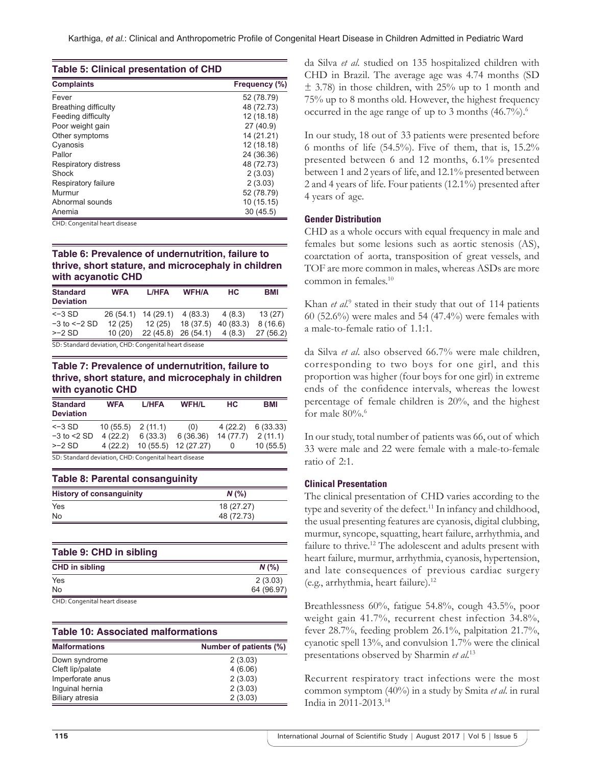|  |  | <b>Table 5: Clinical presentation of CHD</b> |  |  |  |
|--|--|----------------------------------------------|--|--|--|
|--|--|----------------------------------------------|--|--|--|

| <b>Complaints</b>    | Frequency (%) |  |  |
|----------------------|---------------|--|--|
| Fever                | 52 (78.79)    |  |  |
| Breathing difficulty | 48 (72.73)    |  |  |
| Feeding difficulty   | 12 (18.18)    |  |  |
| Poor weight gain     | 27 (40.9)     |  |  |
| Other symptoms       | 14 (21.21)    |  |  |
| Cyanosis             | 12 (18.18)    |  |  |
| Pallor               | 24 (36.36)    |  |  |
| Respiratory distress | 48 (72.73)    |  |  |
| Shock                | 2(3.03)       |  |  |
| Respiratory failure  | 2(3.03)       |  |  |
| Murmur               | 52 (78.79)    |  |  |
| Abnormal sounds      | 10 (15.15)    |  |  |
| Anemia               | 30(45.5)      |  |  |

CHD: Congenital heart disease

## **Table 6: Prevalence of undernutrition, failure to thrive, short stature, and microcephaly in children with acyanotic CHD**

| <b>Standard</b><br><b>Deviation</b> | <b>WFA</b>                                            | L/HFA                        | <b>WFH/A</b>                   | HC.       | <b>BMI</b> |
|-------------------------------------|-------------------------------------------------------|------------------------------|--------------------------------|-----------|------------|
| $<-3$ SD                            |                                                       | 26 (54.1) 14 (29.1) 4 (83.3) |                                | 4 (8.3)   | 13(27)     |
| $-3$ to $\le$ -2 SD                 | 12(25)                                                | 12 (25)                      | 18 (37.5)                      | 40 (83.3) | 8(16.6)    |
| $>-2$ SD                            | 10(20)                                                |                              | $22(45.8)$ $26(54.1)$ $4(8.3)$ |           | 27(56.2)   |
|                                     | $\mathbf{r}$ . $\mathbf{r}$ . The set of $\mathbf{r}$ |                              |                                |           |            |

SD: Standard deviation, CHD: Congenital heart disease

## **Table 7: Prevalence of undernutrition, failure to thrive, short stature, and microcephaly in children with cyanotic CHD**

| <b>Standard</b><br><b>Deviation</b>                   | <b>WFA</b> | L/HFA    | <b>WFH/L</b> | <b>HC</b> | <b>BMI</b> |
|-------------------------------------------------------|------------|----------|--------------|-----------|------------|
| $<-3$ SD                                              | 10(55.5)   | 2(11.1)  | (0)          | 4(22.2)   | 6(33.33)   |
| $-3$ to $<$ 2 SD                                      | 4(22.2)    | 6(33.3)  | 6(36.36)     | 14(77.7)  | 2(11.1)    |
| $>-2$ SD                                              | 4(22.2)    | 10(55.5) | 12 (27.27)   | 0         | 10(55.5)   |
| SD: Standard deviation, CHD: Congenital heart disease |            |          |              |           |            |

| <b>Table 8: Parental consanguinity</b> |            |  |  |
|----------------------------------------|------------|--|--|
| <b>History of consanguinity</b>        | $N$ (%)    |  |  |
| Yes                                    | 18 (27.27) |  |  |
| No.                                    | 48 (72.73) |  |  |

| Table 9: CHD in sibling              |            |  |
|--------------------------------------|------------|--|
| <b>CHD in sibling</b>                | N(%        |  |
| Yes                                  | 2(3.03)    |  |
| <b>No</b>                            | 64 (96.97) |  |
| $C \cup D$ $C$ $U \cup U$ $U \cup U$ |            |  |

CHD: Congenital heart disease

## **Table 10: Associated malformations**

| <b>Malformations</b>   | Number of patients (%) |
|------------------------|------------------------|
| Down syndrome          | 2(3.03)                |
| Cleft lip/palate       | 4(6.06)                |
| Imperforate anus       | 2(3.03)                |
| Inguinal hernia        | 2(3.03)                |
| <b>Biliary atresia</b> | 2(3.03)                |

da Silva *et al*. studied on 135 hospitalized children with CHD in Brazil. The average age was 4.74 months (SD  $\pm$  3.78) in those children, with 25% up to 1 month and 75% up to 8 months old. However, the highest frequency occurred in the age range of up to 3 months (46.7%).<sup>6</sup>

In our study, 18 out of 33 patients were presented before 6 months of life  $(54.5\%)$ . Five of them, that is,  $15.2\%$ presented between 6 and 12 months, 6.1% presented between 1 and 2 years of life, and 12.1% presented between 2 and 4 years of life. Four patients (12.1%) presented after 4 years of age.

#### **Gender Distribution**

CHD as a whole occurs with equal frequency in male and females but some lesions such as aortic stenosis (AS), coarctation of aorta, transposition of great vessels, and TOF are more common in males, whereas ASDs are more common in females.10

Khan *et al.*<sup>9</sup> stated in their study that out of 114 patients 60 (52.6%) were males and 54 (47.4%) were females with a male-to-female ratio of 1.1:1.

da Silva *et al*. also observed 66.7% were male children, corresponding to two boys for one girl, and this proportion was higher (four boys for one girl) in extreme ends of the confidence intervals, whereas the lowest percentage of female children is 20%, and the highest for male  $80\%$ .

In our study, total number of patients was 66, out of which 33 were male and 22 were female with a male-to-female ratio of 2:1.

## **Clinical Presentation**

The clinical presentation of CHD varies according to the type and severity of the defect.<sup>11</sup> In infancy and childhood, the usual presenting features are cyanosis, digital clubbing, murmur, syncope, squatting, heart failure, arrhythmia, and failure to thrive.<sup>12</sup> The adolescent and adults present with heart failure, murmur, arrhythmia, cyanosis, hypertension, and late consequences of previous cardiac surgery (e.g., arrhythmia, heart failure).12

Breathlessness 60%, fatigue 54.8%, cough 43.5%, poor weight gain 41.7%, recurrent chest infection 34.8%, fever 28.7%, feeding problem 26.1%, palpitation 21.7%, cyanotic spell 13%, and convulsion 1.7% were the clinical presentations observed by Sharmin *et al.*<sup>13</sup>

Recurrent respiratory tract infections were the most common symptom (40%) in a study by Smita *et al.* in rural India in 2011-2013.14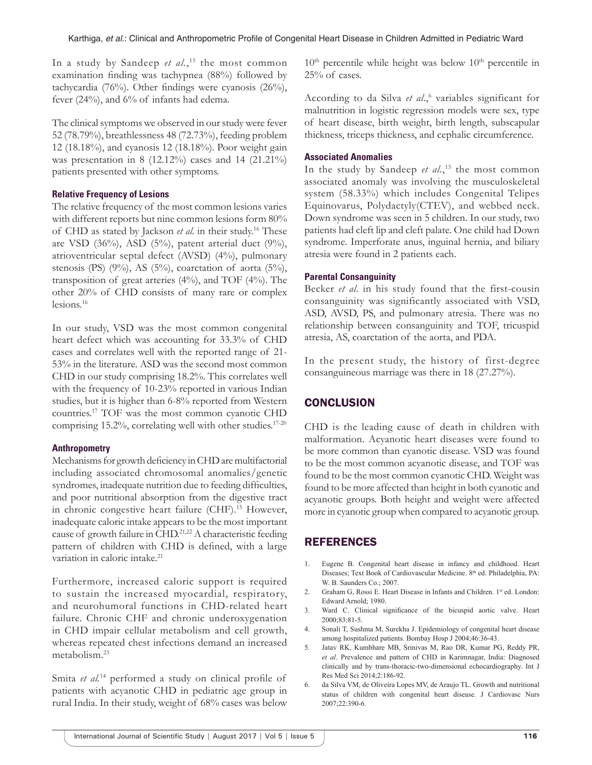In a study by Sandeep *et al.*, 15 the most common examination finding was tachypnea (88%) followed by tachycardia (76%). Other findings were cyanosis (26%), fever (24%), and 6% of infants had edema.

The clinical symptoms we observed in our study were fever 52 (78.79%), breathlessness 48 (72.73%), feeding problem 12 (18.18%), and cyanosis 12 (18.18%). Poor weight gain was presentation in 8 (12.12%) cases and 14 (21.21%) patients presented with other symptoms.

## **Relative Frequency of Lesions**

The relative frequency of the most common lesions varies with different reports but nine common lesions form 80% of CHD as stated by Jackson *et al.* in their study.16 These are VSD (36%), ASD (5%), patent arterial duct (9%), atrioventricular septal defect (AVSD) (4%), pulmonary stenosis (PS) (9%), AS (5%), coarctation of aorta (5%), transposition of great arteries  $(4\%)$ , and TOF  $(4\%)$ . The other 20% of CHD consists of many rare or complex lesions.16

In our study, VSD was the most common congenital heart defect which was accounting for 33.3% of CHD cases and correlates well with the reported range of 21- 53% in the literature. ASD was the second most common CHD in our study comprising 18.2%. This correlates well with the frequency of 10-23% reported in various Indian studies, but it is higher than 6-8% reported from Western countries.17 TOF was the most common cyanotic CHD comprising  $15.2\%$ , correlating well with other studies.<sup>17-20</sup>

## **Anthropometry**

Mechanisms for growth deficiency in CHD are multifactorial including associated chromosomal anomalies/genetic syndromes, inadequate nutrition due to feeding difficulties, and poor nutritional absorption from the digestive tract in chronic congestive heart failure (CHF).<sup>15</sup> However, inadequate caloric intake appears to be the most important cause of growth failure in CHD.<sup>21,22</sup> A characteristic feeding pattern of children with CHD is defined, with a large variation in caloric intake.<sup>21</sup>

Furthermore, increased caloric support is required to sustain the increased myocardial, respiratory, and neurohumoral functions in CHD-related heart failure. Chronic CHF and chronic underoxygenation in CHD impair cellular metabolism and cell growth, whereas repeated chest infections demand an increased metabolism.23

Smita *et al.*<sup>14</sup> performed a study on clinical profile of patients with acyanotic CHD in pediatric age group in rural India. In their study, weight of 68% cases was below

 $10<sup>th</sup>$  percentile while height was below  $10<sup>th</sup>$  percentile in 25% of cases.

According to da Silva et al.,<sup>6</sup> variables significant for malnutrition in logistic regression models were sex, type of heart disease, birth weight, birth length, subscapular thickness, triceps thickness, and cephalic circumference.

## **Associated Anomalies**

In the study by Sandeep *et al.*, 15 the most common associated anomaly was involving the musculoskeletal system (58.33%) which includes Congenital Telipes Equinovarus, Polydactyly(CTEV), and webbed neck. Down syndrome was seen in 5 children. In our study, two patients had cleft lip and cleft palate. One child had Down syndrome. Imperforate anus, inguinal hernia, and biliary atresia were found in 2 patients each.

## **Parental Consanguinity**

Becker *et al*. in his study found that the first-cousin consanguinity was significantly associated with VSD, ASD, AVSD, PS, and pulmonary atresia. There was no relationship between consanguinity and TOF, tricuspid atresia, AS, coarctation of the aorta, and PDA.

In the present study, the history of first-degree consanguineous marriage was there in 18 (27.27%).

## **CONCLUSION**

CHD is the leading cause of death in children with malformation. Acyanotic heart diseases were found to be more common than cyanotic disease. VSD was found to be the most common acyanotic disease, and TOF was found to be the most common cyanotic CHD. Weight was found to be more affected than height in both cyanotic and acyanotic groups. Both height and weight were affected more in cyanotic group when compared to acyanotic group.

## REFERENCES

- 1. Eugene B. Congenital heart disease in infancy and childhood. Heart Diseases; Text Book of Cardiovascular Medicine. 8<sup>th</sup> ed. Philadelphia, PA: W. B. Saunders Co.; 2007.
- 2. Graham G, Rossi E. Heart Disease in Infants and Children. 1st ed. London: Edward Arnold; 1980.
- 3. Ward C. Clinical significance of the bicuspid aortic valve. Heart 2000;83:81-5.
- 4. Sonali T, Sushma M, Surekha J. Epidemiology of congenital heart disease among hospitalized patients. Bombay Hosp J 2004;46:36-43.
- 5. Jatav RK, Kumbhare MB, Srinivas M, Rao DR, Kumar PG, Reddy PR, *et al*. Prevalence and pattern of CHD in Karimnagar, India: Diagnosed clinically and by trans-thoracic-two-dimensional echocardiography. Int J Res Med Sci 2014;2:186-92.
- 6. da Silva VM, de Oliveira Lopes MV, de Araujo TL. Growth and nutritional status of children with congenital heart disease. J Cardiovasc Nurs 2007;22:390-6.